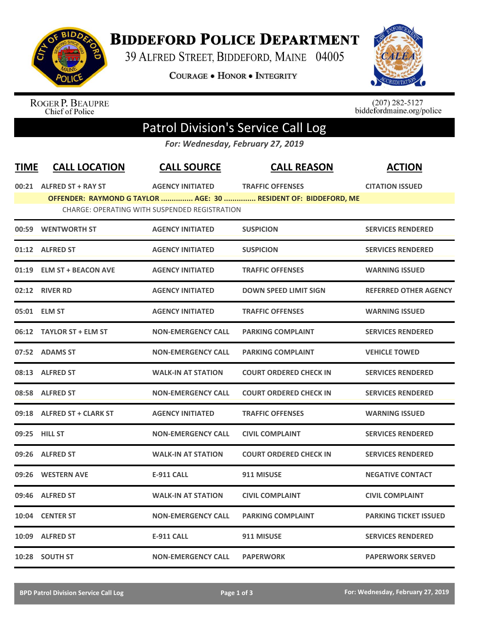

## **BIDDEFORD POLICE DEPARTMENT**

39 ALFRED STREET, BIDDEFORD, MAINE 04005

**COURAGE . HONOR . INTEGRITY** 



ROGER P. BEAUPRE<br>Chief of Police

 $(207)$  282-5127<br>biddefordmaine.org/police

## Patrol Division's Service Call Log

*For: Wednesday, February 27, 2019*

| <b>TIME</b>                                   | <b>CALL LOCATION</b>       | <b>CALL SOURCE</b>        | <b>CALL REASON</b>                                              | <b>ACTION</b>                |  |  |  |  |
|-----------------------------------------------|----------------------------|---------------------------|-----------------------------------------------------------------|------------------------------|--|--|--|--|
|                                               | 00:21 ALFRED ST + RAY ST   | <b>AGENCY INITIATED</b>   | <b>TRAFFIC OFFENSES</b>                                         | <b>CITATION ISSUED</b>       |  |  |  |  |
|                                               |                            |                           | OFFENDER: RAYMOND G TAYLOR  AGE: 30  RESIDENT OF: BIDDEFORD, ME |                              |  |  |  |  |
| CHARGE: OPERATING WITH SUSPENDED REGISTRATION |                            |                           |                                                                 |                              |  |  |  |  |
|                                               | 00:59 WENTWORTH ST         | <b>AGENCY INITIATED</b>   | <b>SUSPICION</b>                                                | <b>SERVICES RENDERED</b>     |  |  |  |  |
|                                               | 01:12 ALFRED ST            | <b>AGENCY INITIATED</b>   | <b>SUSPICION</b>                                                | <b>SERVICES RENDERED</b>     |  |  |  |  |
|                                               | 01:19 ELM ST + BEACON AVE  | <b>AGENCY INITIATED</b>   | <b>TRAFFIC OFFENSES</b>                                         | <b>WARNING ISSUED</b>        |  |  |  |  |
|                                               | 02:12 RIVER RD             | <b>AGENCY INITIATED</b>   | <b>DOWN SPEED LIMIT SIGN</b>                                    | <b>REFERRED OTHER AGENCY</b> |  |  |  |  |
|                                               | 05:01 ELM ST               | <b>AGENCY INITIATED</b>   | <b>TRAFFIC OFFENSES</b>                                         | <b>WARNING ISSUED</b>        |  |  |  |  |
| 06:12                                         | <b>TAYLOR ST + ELM ST</b>  | <b>NON-EMERGENCY CALL</b> | <b>PARKING COMPLAINT</b>                                        | <b>SERVICES RENDERED</b>     |  |  |  |  |
|                                               | 07:52 ADAMS ST             | <b>NON-EMERGENCY CALL</b> | <b>PARKING COMPLAINT</b>                                        | <b>VEHICLE TOWED</b>         |  |  |  |  |
|                                               | 08:13 ALFRED ST            | <b>WALK-IN AT STATION</b> | <b>COURT ORDERED CHECK IN</b>                                   | <b>SERVICES RENDERED</b>     |  |  |  |  |
|                                               | 08:58 ALFRED ST            | <b>NON-EMERGENCY CALL</b> | <b>COURT ORDERED CHECK IN</b>                                   | <b>SERVICES RENDERED</b>     |  |  |  |  |
|                                               | 09:18 ALFRED ST + CLARK ST | <b>AGENCY INITIATED</b>   | <b>TRAFFIC OFFENSES</b>                                         | <b>WARNING ISSUED</b>        |  |  |  |  |
|                                               | 09:25 HILL ST              | <b>NON-EMERGENCY CALL</b> | <b>CIVIL COMPLAINT</b>                                          | <b>SERVICES RENDERED</b>     |  |  |  |  |
|                                               | 09:26 ALFRED ST            | <b>WALK-IN AT STATION</b> | <b>COURT ORDERED CHECK IN</b>                                   | <b>SERVICES RENDERED</b>     |  |  |  |  |
|                                               | 09:26 WESTERN AVE          | <b>E-911 CALL</b>         | 911 MISUSE                                                      | <b>NEGATIVE CONTACT</b>      |  |  |  |  |
| 09:46                                         | <b>ALFRED ST</b>           | <b>WALK-IN AT STATION</b> | <b>CIVIL COMPLAINT</b>                                          | <b>CIVIL COMPLAINT</b>       |  |  |  |  |
|                                               | 10:04 CENTER ST            | <b>NON-EMERGENCY CALL</b> | <b>PARKING COMPLAINT</b>                                        | <b>PARKING TICKET ISSUED</b> |  |  |  |  |
| 10:09                                         | <b>ALFRED ST</b>           | <b>E-911 CALL</b>         | 911 MISUSE                                                      | <b>SERVICES RENDERED</b>     |  |  |  |  |
|                                               | 10:28 SOUTH ST             | <b>NON-EMERGENCY CALL</b> | <b>PAPERWORK</b>                                                | <b>PAPERWORK SERVED</b>      |  |  |  |  |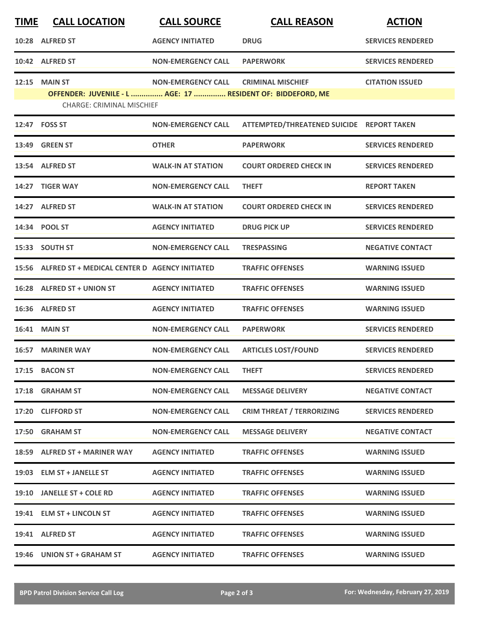| <b>TIME</b> | <b>CALL LOCATION</b>                                                                            | <b>CALL SOURCE</b>        | <b>CALL REASON</b>                        | <b>ACTION</b>            |
|-------------|-------------------------------------------------------------------------------------------------|---------------------------|-------------------------------------------|--------------------------|
|             | 10:28 ALFRED ST                                                                                 | <b>AGENCY INITIATED</b>   | <b>DRUG</b>                               | <b>SERVICES RENDERED</b> |
|             | 10:42 ALFRED ST                                                                                 | <b>NON-EMERGENCY CALL</b> | <b>PAPERWORK</b>                          | <b>SERVICES RENDERED</b> |
|             | <b>12:15 MAIN ST</b>                                                                            | <b>NON-EMERGENCY CALL</b> | <b>CRIMINAL MISCHIEF</b>                  | <b>CITATION ISSUED</b>   |
|             | OFFENDER: JUVENILE - L  AGE: 17  RESIDENT OF: BIDDEFORD, ME<br><b>CHARGE: CRIMINAL MISCHIEF</b> |                           |                                           |                          |
|             | 12:47 FOSS ST                                                                                   | <b>NON-EMERGENCY CALL</b> | ATTEMPTED/THREATENED SUICIDE REPORT TAKEN |                          |
|             | <b>13:49 GREEN ST</b>                                                                           | <b>OTHER</b>              | <b>PAPERWORK</b>                          | <b>SERVICES RENDERED</b> |
|             | 13:54 ALFRED ST                                                                                 | <b>WALK-IN AT STATION</b> | <b>COURT ORDERED CHECK IN</b>             | <b>SERVICES RENDERED</b> |
| 14:27       | <b>TIGER WAY</b>                                                                                | <b>NON-EMERGENCY CALL</b> | <b>THEFT</b>                              | <b>REPORT TAKEN</b>      |
|             | 14:27 ALFRED ST                                                                                 | <b>WALK-IN AT STATION</b> | <b>COURT ORDERED CHECK IN</b>             | <b>SERVICES RENDERED</b> |
|             | 14:34 POOL ST                                                                                   | <b>AGENCY INITIATED</b>   | <b>DRUG PICK UP</b>                       | <b>SERVICES RENDERED</b> |
|             | 15:33 SOUTH ST                                                                                  | <b>NON-EMERGENCY CALL</b> | <b>TRESPASSING</b>                        | <b>NEGATIVE CONTACT</b>  |
|             | 15:56 ALFRED ST + MEDICAL CENTER D AGENCY INITIATED                                             |                           | <b>TRAFFIC OFFENSES</b>                   | <b>WARNING ISSUED</b>    |
|             | 16:28 ALFRED ST + UNION ST                                                                      | <b>AGENCY INITIATED</b>   | <b>TRAFFIC OFFENSES</b>                   | <b>WARNING ISSUED</b>    |
|             | 16:36 ALFRED ST                                                                                 | <b>AGENCY INITIATED</b>   | <b>TRAFFIC OFFENSES</b>                   | <b>WARNING ISSUED</b>    |
|             | <b>16:41 MAIN ST</b>                                                                            | <b>NON-EMERGENCY CALL</b> | <b>PAPERWORK</b>                          | <b>SERVICES RENDERED</b> |
|             | <b>16:57 MARINER WAY</b>                                                                        | <b>NON-EMERGENCY CALL</b> | <b>ARTICLES LOST/FOUND</b>                | <b>SERVICES RENDERED</b> |
|             | 17:15 BACON ST                                                                                  | <b>NON-EMERGENCY CALL</b> | <b>THEFT</b>                              | <b>SERVICES RENDERED</b> |
|             | 17:18 GRAHAM ST                                                                                 | <b>NON-EMERGENCY CALL</b> | <b>MESSAGE DELIVERY</b>                   | <b>NEGATIVE CONTACT</b>  |
|             | 17:20 CLIFFORD ST                                                                               | <b>NON-EMERGENCY CALL</b> | <b>CRIM THREAT / TERRORIZING</b>          | <b>SERVICES RENDERED</b> |
|             | 17:50 GRAHAM ST                                                                                 | <b>NON-EMERGENCY CALL</b> | <b>MESSAGE DELIVERY</b>                   | <b>NEGATIVE CONTACT</b>  |
|             | 18:59 ALFRED ST + MARINER WAY                                                                   | <b>AGENCY INITIATED</b>   | <b>TRAFFIC OFFENSES</b>                   | <b>WARNING ISSUED</b>    |
|             | 19:03 ELM ST + JANELLE ST                                                                       | <b>AGENCY INITIATED</b>   | <b>TRAFFIC OFFENSES</b>                   | <b>WARNING ISSUED</b>    |
|             | 19:10 JANELLE ST + COLE RD                                                                      | <b>AGENCY INITIATED</b>   | <b>TRAFFIC OFFENSES</b>                   | <b>WARNING ISSUED</b>    |
|             | 19:41 ELM ST + LINCOLN ST                                                                       | <b>AGENCY INITIATED</b>   | <b>TRAFFIC OFFENSES</b>                   | <b>WARNING ISSUED</b>    |
|             | 19:41 ALFRED ST                                                                                 | <b>AGENCY INITIATED</b>   | <b>TRAFFIC OFFENSES</b>                   | <b>WARNING ISSUED</b>    |
|             | 19:46 UNION ST + GRAHAM ST                                                                      | <b>AGENCY INITIATED</b>   | <b>TRAFFIC OFFENSES</b>                   | <b>WARNING ISSUED</b>    |